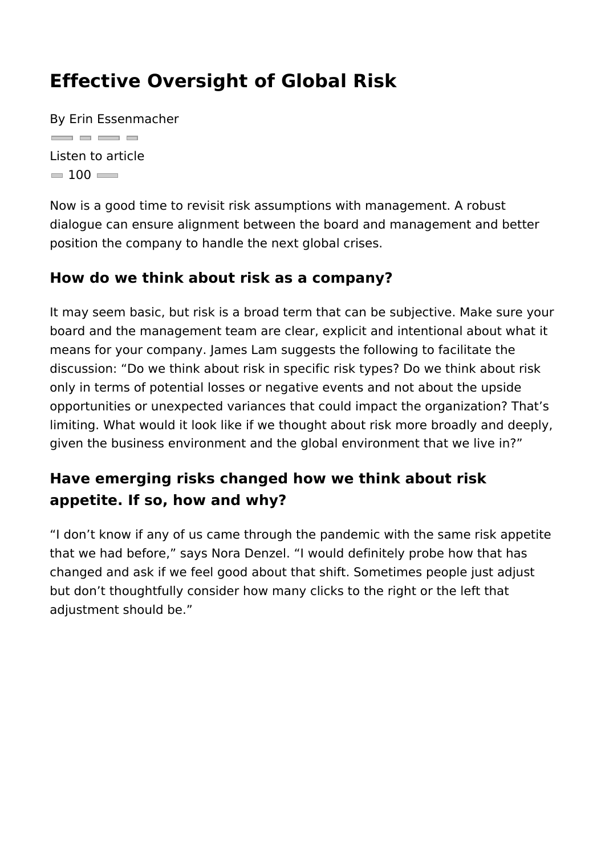#### Effective Oversight of Global Risk

By Erin Essenmacher <u>and a and a</u> Listen to article  $= 100$ 

Now is a good time to revisit risk assumptions with management dialogue can ensure alignment between the board and managem position the company to handle the next global crises.

How do we think about risk as a company?

It may seem basic, but risk is a broad term that can be subjecti board and the management team are clear, explicit and intention means for your company. James Lam suggests the following to f discussion: Do we think about risk in specific risk types? Do w only in terms of potential losses or negative events and not about opportunities or unexpected variances that could impact the org limiting. What would it look like if we thought about risk more b given the business environment and the global environment that

Have emerging risks changed how we think about risk appetite. If so, how and why?

I don t know if any of us came through the pandemic with the s that we had before, says Nora Denzel. I would definitely probe changed and ask if we feel good about that shift. Sometimes pe but don t thoughtfully consider how many clicks to the right or adjustment should be.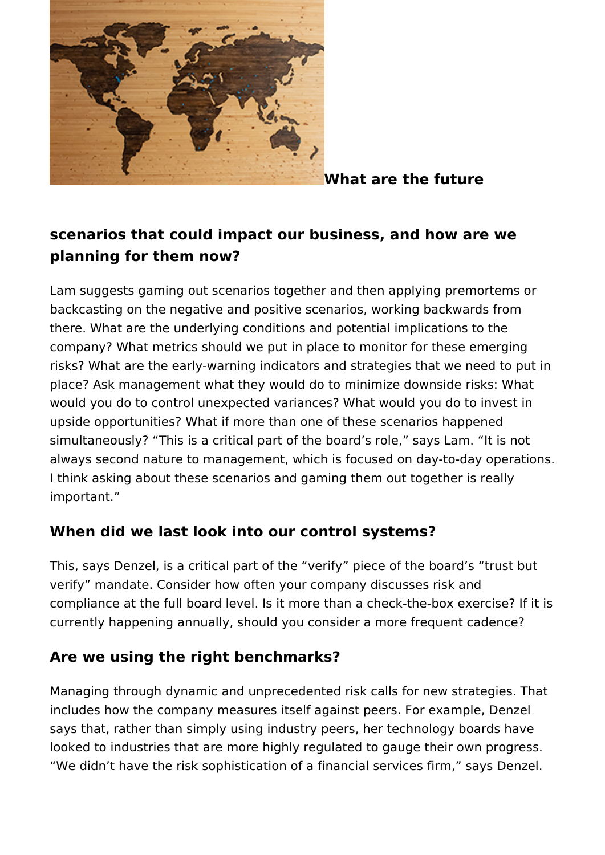

**What are the future**

# **scenarios that could impact our business, and how are we planning for them now?**

Lam suggests gaming out scenarios together and then applying premortems or backcasting on the negative and positive scenarios, working backwards from there. What are the underlying conditions and potential implications to the company? What metrics should we put in place to monitor for these emerging risks? What are the early-warning indicators and strategies that we need to put in place? Ask management what they would do to minimize downside risks: What would you do to control unexpected variances? What would you do to invest in upside opportunities? What if more than one of these scenarios happened simultaneously? "This is a critical part of the board's role," says Lam. "It is not always second nature to management, which is focused on day-to-day operations. I think asking about these scenarios and gaming them out together is really important."

### **When did we last look into our control systems?**

This, says Denzel, is a critical part of the "verify" piece of the board's "trust but verify" mandate. Consider how often your company discusses risk and compliance at the full board level. Is it more than a check-the-box exercise? If it is currently happening annually, should you consider a more frequent cadence?

### **Are we using the right benchmarks?**

Managing through dynamic and unprecedented risk calls for new strategies. That includes how the company measures itself against peers. For example, Denzel says that, rather than simply using industry peers, her technology boards have looked to industries that are more highly regulated to gauge their own progress. "We didn't have the risk sophistication of a financial services firm," says Denzel.